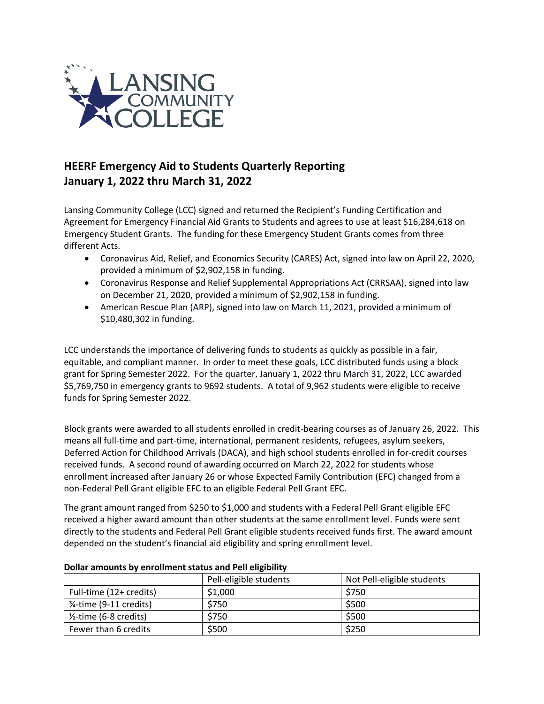

## **HEERF Emergency Aid to Students Quarterly Reporting January 1, 2022 thru March 31, 2022**

Lansing Community College (LCC) signed and returned the Recipient's Funding Certification and Agreement for Emergency Financial Aid Grants to Students and agrees to use at least \$16,284,618 on Emergency Student Grants. The funding for these Emergency Student Grants comes from three different Acts.

- Coronavirus Aid, Relief, and Economics Security (CARES) Act, signed into law on April 22, 2020, provided a minimum of \$2,902,158 in funding.
- Coronavirus Response and Relief Supplemental Appropriations Act (CRRSAA), signed into law on December 21, 2020, provided a minimum of \$2,902,158 in funding.
- American Rescue Plan (ARP), signed into law on March 11, 2021, provided a minimum of \$10,480,302 in funding.

LCC understands the importance of delivering funds to students as quickly as possible in a fair, equitable, and compliant manner. In order to meet these goals, LCC distributed funds using a block grant for Spring Semester 2022. For the quarter, January 1, 2022 thru March 31, 2022, LCC awarded \$5,769,750 in emergency grants to 9692 students. A total of 9,962 students were eligible to receive funds for Spring Semester 2022.

Block grants were awarded to all students enrolled in credit-bearing courses as of January 26, 2022. This means all full-time and part-time, international, permanent residents, refugees, asylum seekers, Deferred Action for Childhood Arrivals (DACA), and high school students enrolled in for-credit courses received funds. A second round of awarding occurred on March 22, 2022 for students whose enrollment increased after January 26 or whose Expected Family Contribution (EFC) changed from a non-Federal Pell Grant eligible EFC to an eligible Federal Pell Grant EFC.

The grant amount ranged from \$250 to \$1,000 and students with a Federal Pell Grant eligible EFC received a higher award amount than other students at the same enrollment level. Funds were sent directly to the students and Federal Pell Grant eligible students received funds first. The award amount depended on the student's financial aid eligibility and spring enrollment level.

|                                   | Pell-eligible students | Not Pell-eligible students |
|-----------------------------------|------------------------|----------------------------|
| Full-time (12+ credits)           | \$1,000                | \$750                      |
| 3⁄4-time (9-11 credits)           | \$750                  | \$500                      |
| $\frac{1}{2}$ -time (6-8 credits) | \$750                  | \$500                      |
| Fewer than 6 credits              | \$500                  | \$250                      |

## **Dollar amounts by enrollment status and Pell eligibility**